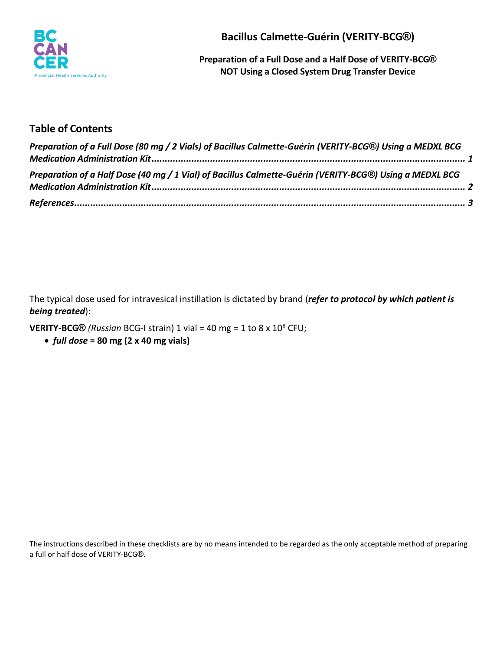

**Bacillus Calmette-Guérin (VERITY-BCG®)**

**Preparation of a Full Dose and a Half Dose of VERITY-BCG® NOT Using a Closed System Drug Transfer Device**

# **Table of Contents**

| Preparation of a Full Dose (80 mg / 2 Vials) of Bacillus Calmette-Guérin (VERITY-BCG®) Using a MEDXL BCG |  |
|----------------------------------------------------------------------------------------------------------|--|
|                                                                                                          |  |
| Preparation of a Half Dose (40 mg / 1 Vial) of Bacillus Calmette-Guérin (VERITY-BCG®) Using a MEDXL BCG  |  |
|                                                                                                          |  |
|                                                                                                          |  |

The typical dose used for intravesical instillation is dictated by brand (*refer to protocol by which patient is being treated*):

**VERITY-BCG** $\textcircled{R}$  *(Russian* BCG-I strain) 1 vial = 40 mg = 1 to 8 x 10<sup>8</sup> CFU;

• *full dose* **= 80 mg (2 x 40 mg vials)**

The instructions described in these checklists are by no means intended to be regarded as the only acceptable method of preparing a full or half dose of VERITY-BCG®.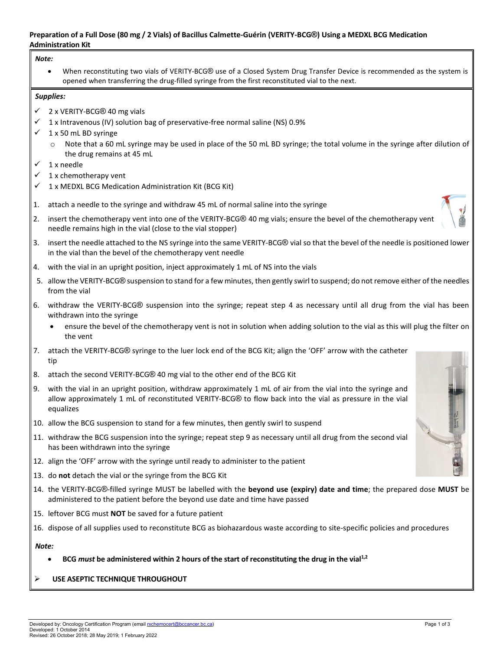#### <span id="page-1-0"></span>**Preparation of a Full Dose (80 mg / 2 Vials) of Bacillus Calmette-Guérin (VERITY-BCG®) Using a MEDXL BCG Medication Administration Kit**

#### *Note:*

• When reconstituting two vials of VERITY-BCG® use of a Closed System Drug Transfer Device is recommended as the system is opened when transferring the drug-filled syringe from the first reconstituted vial to the next.

#### *Supplies:*

- $\checkmark$  2 x VERITY-BCG® 40 mg vials
- $\checkmark$  1 x Intravenous (IV) solution bag of preservative-free normal saline (NS) 0.9%
- $\checkmark$  1 x 50 mL BD syringe
	- $\circ$  Note that a 60 mL syringe may be used in place of the 50 mL BD syringe; the total volume in the syringe after dilution of the drug remains at 45 mL
- $\times$  1 x needle
- $\checkmark$  1 x chemotherapy vent
- $\checkmark$  1 x MEDXL BCG Medication Administration Kit (BCG Kit)
- 1. attach a needle to the syringe and withdraw 45 mL of normal saline into the syringe
- 2. insert the chemotherapy vent into one of the VERITY-BCG® 40 mg vials; ensure the bevel of the chemotherapy vent needle remains high in the vial (close to the vial stopper)
- 3. insert the needle attached to the NS syringe into the same VERITY-BCG® vial so that the bevel of the needle is positioned lower in the vial than the bevel of the chemotherapy vent needle
- 4. with the vial in an upright position, inject approximately 1 mL of NS into the vials
- 5. allow the VERITY-BCG® suspension to stand for a few minutes, then gently swirl to suspend; do not remove either of the needles from the vial
- 6. withdraw the VERITY-BCG® suspension into the syringe; repeat step 4 as necessary until all drug from the vial has been withdrawn into the syringe
	- ensure the bevel of the chemotherapy vent is not in solution when adding solution to the vial as this will plug the filter on the vent
- 7. attach the VERITY-BCG® syringe to the luer lock end of the BCG Kit; align the 'OFF' arrow with the catheter tip
- 8. attach the second VERITY-BCG® 40 mg vial to the other end of the BCG Kit
- 9. with the vial in an upright position, withdraw approximately 1 mL of air from the vial into the syringe and allow approximately 1 mL of reconstituted VERITY-BCG® to flow back into the vial as pressure in the vial equalizes
- 10. allow the BCG suspension to stand for a few minutes, then gently swirl to suspend
- 11. withdraw the BCG suspension into the syringe; repeat step 9 as necessary until all drug from the second vial has been withdrawn into the syringe
- 12. align the 'OFF' arrow with the syringe until ready to administer to the patient
- 13. do **not** detach the vial or the syringe from the BCG Kit
- 14. the VERITY-BCG®-filled syringe MUST be labelled with the **beyond use (expiry) date and time**; the prepared dose **MUST** be administered to the patient before the beyond use date and time have passed
- 15. leftover BCG must **NOT** be saved for a future patient
- 16. dispose of all supplies used to reconstitute BCG as biohazardous waste according to site-specific policies and procedures

#### *Note:*

- **BCG** *must* **be administered within 2 hours of the start of reconstituting the drug in the vial1,2**
- **USE ASEPTIC TECHNIQUE THROUGHOUT**

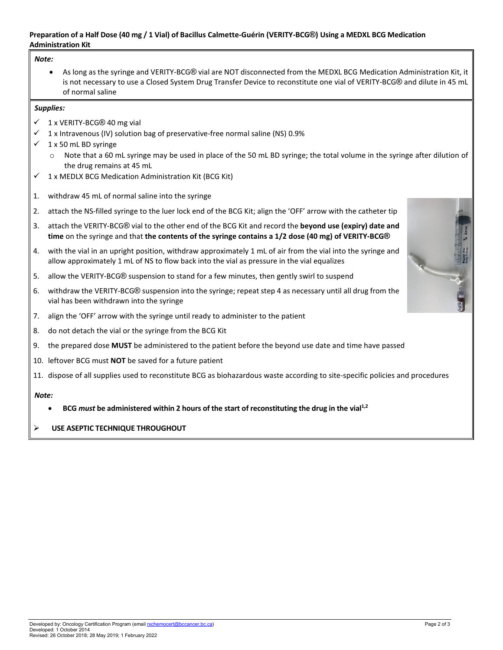#### <span id="page-2-0"></span>**Preparation of a Half Dose (40 mg / 1 Vial) of Bacillus Calmette-Guérin (VERITY-BCG®) Using a MEDXL BCG Medication Administration Kit**

#### *Note:*

• As long as the syringe and VERITY-BCG® vial are NOT disconnected from the MEDXL BCG Medication Administration Kit, it is not necessary to use a Closed System Drug Transfer Device to reconstitute one vial of VERITY-BCG® and dilute in 45 mL of normal saline

#### *Supplies:*

- $\checkmark$  1 x VERITY-BCG® 40 mg vial
- $\checkmark$  1 x Intravenous (IV) solution bag of preservative-free normal saline (NS) 0.9%
- $\checkmark$  1 x 50 mL BD syringe
	- $\circ$  Note that a 60 mL syringe may be used in place of the 50 mL BD syringe; the total volume in the syringe after dilution of the drug remains at 45 mL
- $1 x$  MEDLX BCG Medication Administration Kit (BCG Kit)
- 1. withdraw 45 mL of normal saline into the syringe
- 2. attach the NS-filled syringe to the luer lock end of the BCG Kit; align the 'OFF' arrow with the catheter tip
- 3. attach the VERITY-BCG® vial to the other end of the BCG Kit and record the **beyond use (expiry) date and time** on the syringe and that **the contents of the syringe contains a 1/2 dose (40 mg) of VERITY-BCG®**
- 4. with the vial in an upright position, withdraw approximately 1 mL of air from the vial into the syringe and allow approximately 1 mL of NS to flow back into the vial as pressure in the vial equalizes
- 5. allow the VERITY-BCG® suspension to stand for a few minutes, then gently swirl to suspend
- 6. withdraw the VERITY-BCG® suspension into the syringe; repeat step 4 as necessary until all drug from the vial has been withdrawn into the syringe
- 7. align the 'OFF' arrow with the syringe until ready to administer to the patient
- 8. do not detach the vial or the syringe from the BCG Kit
- 9. the prepared dose **MUST** be administered to the patient before the beyond use date and time have passed
- 10. leftover BCG must **NOT** be saved for a future patient
- 11. dispose of all supplies used to reconstitute BCG as biohazardous waste according to site-specific policies and procedures

#### *Note:*

• **BCG** *must* **be administered within 2 hours of the start of reconstituting the drug in the vial1,2**

### **USE ASEPTIC TECHNIQUE THROUGHOUT**